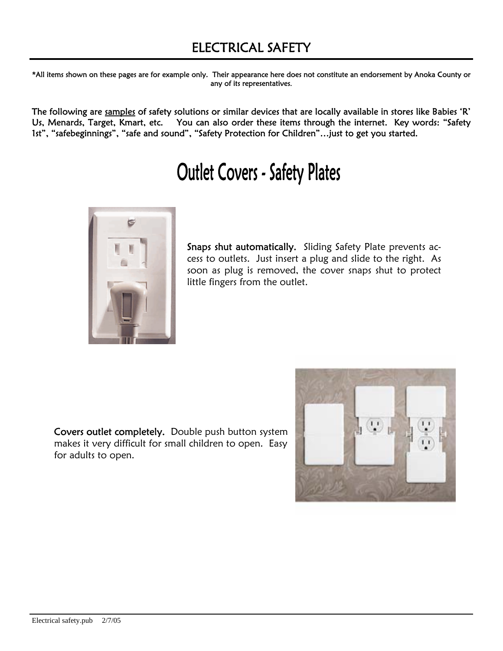\*All items shown on these pages are for example only. Their appearance here does not constitute an endorsement by Anoka County or any of its representatives.

The following are samples of safety solutions or similar devices that are locally available in stores like Babies 'R' Us, Menards, Target, Kmart, etc. You can also order these items through the internet. Key words: "Safety 1st", "safebeginnings", "safe and sound", "Safety Protection for Children"…just to get you started.

## **Outlet Covers - Safety Plates**



Snaps shut automatically. Sliding Safety Plate prevents access to outlets. Just insert a plug and slide to the right. As soon as plug is removed, the cover snaps shut to protect little fingers from the outlet.

Covers outlet completely. Double push button system makes it very difficult for small children to open. Easy for adults to open.